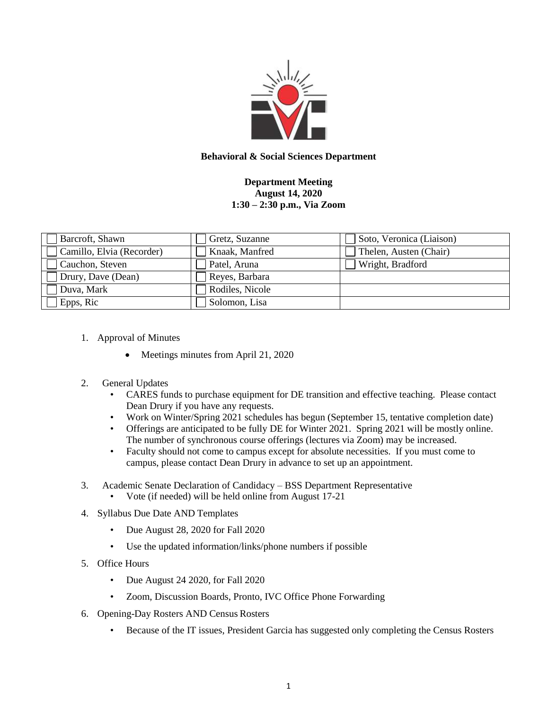

## **Behavioral & Social Sciences Department**

## **Department Meeting August 14, 2020 1:30 – 2:30 p.m., Via Zoom**

| Barcroft, Shawn           | Gretz, Suzanne  | Soto, Veronica (Liaison) |
|---------------------------|-----------------|--------------------------|
| Camillo, Elvia (Recorder) | Knaak, Manfred  | Thelen, Austen (Chair)   |
| Cauchon, Steven           | Patel, Aruna    | Wright, Bradford         |
| Drury, Dave (Dean)        | Reyes, Barbara  |                          |
| Duva, Mark                | Rodiles, Nicole |                          |
| Epps, Ric                 | Solomon, Lisa   |                          |

- 1. Approval of Minutes
	- Meetings minutes from April 21, 2020
- 2. General Updates
	- CARES funds to purchase equipment for DE transition and effective teaching. Please contact Dean Drury if you have any requests.
	- Work on Winter/Spring 2021 schedules has begun (September 15, tentative completion date)
	- Offerings are anticipated to be fully DE for Winter 2021. Spring 2021 will be mostly online. The number of synchronous course offerings (lectures via Zoom) may be increased.
	- Faculty should not come to campus except for absolute necessities. If you must come to campus, please contact Dean Drury in advance to set up an appointment.
- 3. Academic Senate Declaration of Candidacy BSS Department Representative
	- Vote (if needed) will be held online from August 17-21
- 4. Syllabus Due Date AND Templates
	- Due August 28, 2020 for Fall 2020
	- Use the updated information/links/phone numbers if possible
- 5. Office Hours
	- Due August 24 2020, for Fall 2020
	- Zoom, Discussion Boards, Pronto, IVC Office Phone Forwarding
- 6. Opening-Day Rosters AND Census Rosters
	- Because of the IT issues, President Garcia has suggested only completing the Census Rosters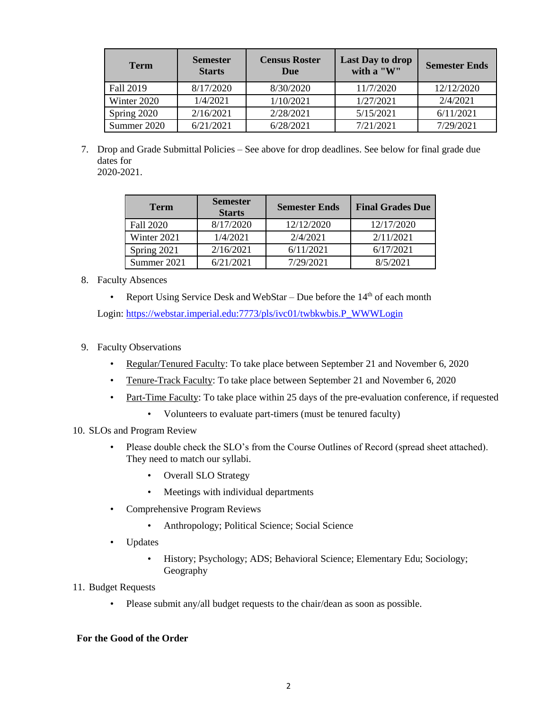| <b>Term</b> | <b>Semester</b><br><b>Starts</b> | <b>Census Roster</b><br>Due | <b>Last Day to drop</b><br>with a "W" | <b>Semester Ends</b> |
|-------------|----------------------------------|-----------------------------|---------------------------------------|----------------------|
| Fall 2019   | 8/17/2020                        | 8/30/2020                   | 11/7/2020                             | 12/12/2020           |
| Winter 2020 | 1/4/2021                         | 1/10/2021                   | 1/27/2021                             | 2/4/2021             |
| Spring 2020 | 2/16/2021                        | 2/28/2021                   | 5/15/2021                             | 6/11/2021            |
| Summer 2020 | 6/21/2021                        | 6/28/2021                   | 7/21/2021                             | 7/29/2021            |

7. Drop and Grade Submittal Policies – See above for drop deadlines. See below for final grade due dates for 2020-2021.

| <b>Term</b> | <b>Semester</b><br><b>Starts</b> | <b>Semester Ends</b> | <b>Final Grades Due</b> |
|-------------|----------------------------------|----------------------|-------------------------|
| Fall 2020   | 8/17/2020                        | 12/12/2020           | 12/17/2020              |
| Winter 2021 | 1/4/2021                         | 2/4/2021             | 2/11/2021               |
| Spring 2021 | 2/16/2021                        | 6/11/2021            | 6/17/2021               |
| Summer 2021 | 6/21/2021                        | 7/29/2021            | 8/5/2021                |

- 8. Faculty Absences
	- Report Using Service Desk and WebStar Due before the  $14<sup>th</sup>$  of each month

Login: [https://webstar.imperial.edu:7773/pls/ivc01/twbkwbis.P\\_WWWLogin](https://webstar.imperial.edu:7773/pls/ivc01/twbkwbis.P_WWWLogin)

- 9. Faculty Observations
	- Regular/Tenured Faculty: To take place between September 21 and November 6, 2020
	- Tenure-Track Faculty: To take place between September 21 and November 6, 2020
	- Part-Time Faculty: To take place within 25 days of the pre-evaluation conference, if requested
		- Volunteers to evaluate part-timers (must be tenured faculty)
- 10. SLOs and Program Review
	- Please double check the SLO's from the Course Outlines of Record (spread sheet attached). They need to match our syllabi.
		- Overall SLO Strategy
		- Meetings with individual departments
	- Comprehensive Program Reviews
		- Anthropology; Political Science; Social Science
	- Updates
		- History; Psychology; ADS; Behavioral Science; Elementary Edu; Sociology; Geography
- 11. Budget Requests
	- Please submit any/all budget requests to the chair/dean as soon as possible.

## **For the Good of the Order**